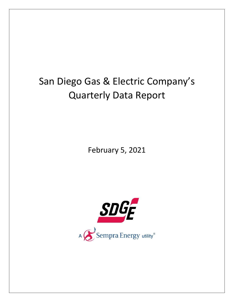## San Diego Gas & Electric Company's Quarterly Data Report

February 5, 2021

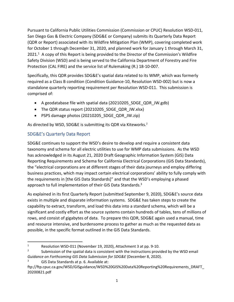Pursuant to California Public Utilities Commission (Commission or CPUC) Resolution WSD‐011, San Diego Gas & Electric Company (SDG&E or Company) submits its Quarterly Data Report (QDR or Report) associated with its Wildfire Mitigation Plan (WMP), covering completed work for October 1 through December 31, 2020, and planned work for January 1 through March 31, 2021.<sup>1</sup> A copy of this Report is being provided to the Director of the Commission's Wildfire Safety Division (WSD) and is being served to the California Department of Forestry and Fire Protection (CAL FIRE) and the service list of Rulemaking (R.) 18‐10‐007.

Specifically, this QDR provides SDG&E's spatial data related to its WMP, which was formerly required as a Class B condition (Condition Guidance‐10, Resolution WSD‐002) but is now a standalone quarterly reporting requirement per Resolution WSD‐011. This submission is comprised of:

- A geodatabase file with spatial data (20210205\_SDGE\_QDR\_JW.gdb)
- The QDR status report (20210205 SDGE\_QDR\_JW.xlsx)
- PSPS damage photos (20210205 SDGE\_QDR\_JW.zip)

As directed by WSD, SDG&E is submitting its QDR via Kiteworks.<sup>2</sup>

## SDG&E's Quarterly Data Report

SDG&E continues to support the WSD's desire to develop and require a consistent data taxonomy and schema for all electric utilities to use for WMP data submissions. As the WSD has acknowledged in its August 21, 2020 Draft Geographic Information System (GIS) Data Reporting Requirements and Schema for California Electrical Corporations (GIS Data Standards), the "electrical corporations are at different stages of their data journeys and employ differing business practices, which may impact certain electrical corporations' ability to fully comply with the requirements in [the GIS Data Standards]" and that the WSD's employing a phased approach to full implementation of their GIS Data Standards.<sup>3</sup>

As explained in its first Quarterly Report (submitted September 9, 2020), SDG&E's source data exists in multiple and disparate information systems. SDG&E has taken steps to create the capability to extract, transform, and load this data into a standard schema, which will be a significant and costly effort as the source systems contain hundreds of tables, tens of millions of rows, and consist of gigabytes of data. To prepare this QDR, SDG&E again used a manual, time and resource intensive, and burdensome process to gather as much as the requested data as possible, in the specific format outlined in the GIS Data Standards.

3 GIS Data Standards at p. 6. Available at:

<sup>1</sup> Resolution WSD‐011 (November 19, 2020), Attachment 3 at pp. 9‐10.

<sup>2</sup> Submission of the spatial data is consistent with the instructions provided by the WSD email *Guidance on Forthcoming GIS Data Submission for SDG&E* (December 8, 2020).

ftp://ftp.cpuc.ca.gov/WSD/GISguidance/WSD%20GIS%20Data%20Reporting%20Requirements\_DRAFT\_ 20200821.pdf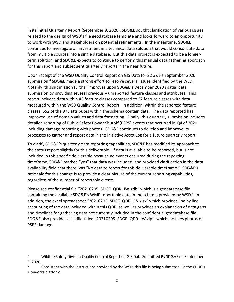In its initial Quarterly Report (September 9, 2020), SDG&E sought clarification of various issues related to the design of WSD's file geodatabase template and looks forward to an opportunity to work with WSD and stakeholders on potential refinements. In the meantime, SDG&E continues to investigate an investment in a technical data solution that would consolidate data from multiple sources into a single database. But this data project is expected to be a longer‐ term solution, and SDG&E expects to continue to perform this manual data gathering approach for this report and subsequent quarterly reports in the near future.

Upon receipt of the WSD Quality Control Report on GIS Data for SDG&E's September 2020 submission,<sup>4</sup> SDG&E made a strong effort to resolve several issues identified by the WSD. Notably, this submission further improves upon SDG&E's December 2020 spatial data submission by providing several previously unreported feature classes and attributes. This report includes data within 43 feature classes compared to 32 feature classes with data measured within the WSD Quality Control Report. In addition, within the reported feature classes, 652 of the 978 attributes within the schema contain data. The data reported has improved use of domain values and data formatting. Finally, this quarterly submission includes detailed reporting of Public Safety Power Shutoff (PSPS) events that occurred in Q4 of 2020 including damage reporting with photos. SDG&E continues to develop and improve its processes to gather and report data in the Initiative Asset Log for a future quarterly report.

To clarify SDG&E's quarterly data reporting capabilities, SDG&E has modified its approach to the status report slightly for this deliverable. If data is available to be reported, but is not included in this specific deliverable because no events occurred during the reporting timeframe, SDG&E marked "yes" that data was included, and provided clarification in the data availability field that there was "No data to report for this deliverable timeframe." SDG&E's rationale for this change is to provide a clear picture of the current reporting capabilities, regardless of the number of reportable events.

Please see confidential file "20210205\_SDGE\_QDR\_JW.gdb" which is a geodatabase file containing the available SDG&E's WMP reportable data in the schema provided by WSD.<sup>5</sup> In addition, the excel spreadsheet "20210205\_SDGE\_QDR\_JW.xlsx" which provides line by line accounting of the data included within this QDR, as well as provides an explanation of data gaps and timelines for gathering data not currently included in the confidential geodatabase file. SDG&E also provides a zip file titled "20210205\_SDGE\_QDR\_JW.zip" which includes photos of PSPS damage.

<sup>4</sup> Wildfire Safety Division Quality Control Report on GIS Data Submitted By SDG&E on September 9, 2020.

<sup>5</sup> Consistent with the instructions provided by the WSD, this file is being submitted via the CPUC's Kiteworks platform.